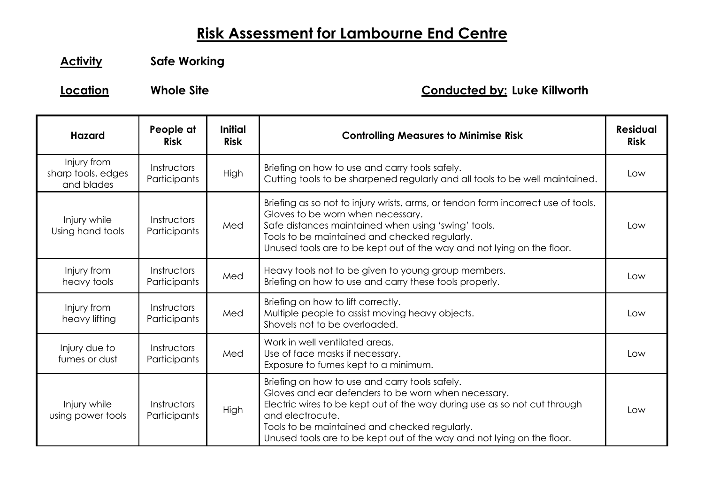## **Risk Assessment for Lambourne End Centre**

**Activity Safe Working**

## **Location Whole Site Conducted by: Luke Killworth**

| <b>Hazard</b>                                   | People at<br><b>Risk</b>    | Initial<br><b>Risk</b> | <b>Controlling Measures to Minimise Risk</b>                                                                                                                                                                                                                                                                                      | <b>Residual</b><br><b>Risk</b> |
|-------------------------------------------------|-----------------------------|------------------------|-----------------------------------------------------------------------------------------------------------------------------------------------------------------------------------------------------------------------------------------------------------------------------------------------------------------------------------|--------------------------------|
| Injury from<br>sharp tools, edges<br>and blades | Instructors<br>Participants | High                   | Briefing on how to use and carry tools safely.<br>Cutting tools to be sharpened regularly and all tools to be well maintained.                                                                                                                                                                                                    | Low                            |
| Injury while<br>Using hand tools                | Instructors<br>Participants | Med                    | Briefing as so not to injury wrists, arms, or tendon form incorrect use of tools.<br>Gloves to be worn when necessary.<br>Safe distances maintained when using 'swing' tools.<br>Tools to be maintained and checked regularly.<br>Unused tools are to be kept out of the way and not lying on the floor.                          | Low                            |
| Injury from<br>heavy tools                      | Instructors<br>Participants | Med                    | Heavy tools not to be given to young group members.<br>Briefing on how to use and carry these tools properly.                                                                                                                                                                                                                     | Low                            |
| Injury from<br>heavy lifting                    | Instructors<br>Participants | Med                    | Briefing on how to lift correctly.<br>Multiple people to assist moving heavy objects.<br>Shovels not to be overloaded.                                                                                                                                                                                                            | Low                            |
| Injury due to<br>fumes or dust                  | Instructors<br>Participants | Med                    | Work in well ventilated areas.<br>Use of face masks if necessary.<br>Exposure to fumes kept to a minimum.                                                                                                                                                                                                                         | l ow                           |
| Injury while<br>using power tools               | Instructors<br>Participants | High                   | Briefing on how to use and carry tools safely.<br>Gloves and ear defenders to be worn when necessary.<br>Electric wires to be kept out of the way during use as so not cut through<br>and electrocute.<br>Tools to be maintained and checked regularly.<br>Unused tools are to be kept out of the way and not lying on the floor. | Low                            |